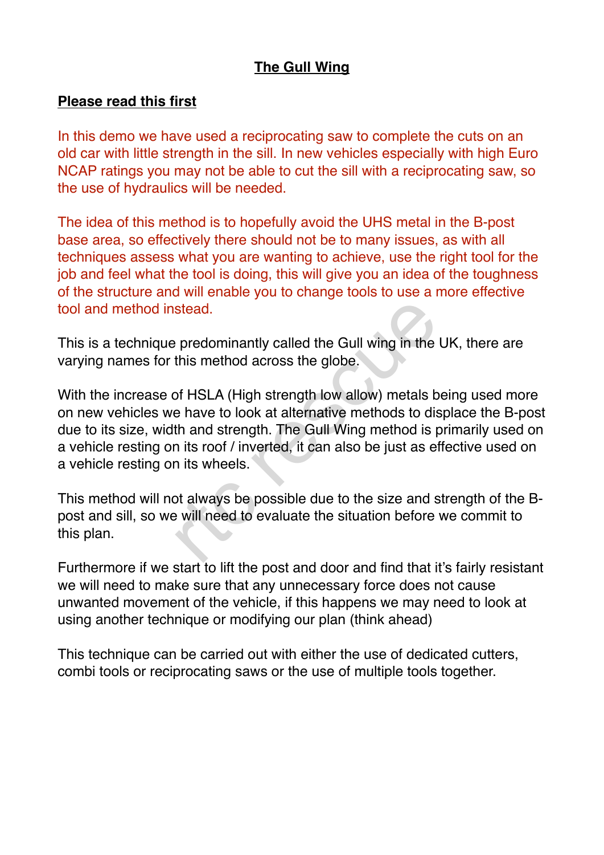## **The Gull Wing**

## **Please read this first**

In this demo we have used a reciprocating saw to complete the cuts on an old car with little strength in the sill. In new vehicles especially with high Euro NCAP ratings you may not be able to cut the sill with a reciprocating saw, so the use of hydraulics will be needed.

The idea of this method is to hopefully avoid the UHS metal in the B-post base area, so effectively there should not be to many issues, as with all techniques assess what you are wanting to achieve, use the right tool for the job and feel what the tool is doing, this will give you an idea of the toughness of the structure and will enable you to change tools to use a more effective tool and method instead.

This is a technique predominantly called the Gull wing in the UK, there are varying names for this method across the globe.

With the increase of HSLA (High strength low allow) metals being used more on new vehicles we have to look at alternative methods to displace the B-post due to its size, width and strength. The Gull Wing method is primarily used on a vehicle resting on its roof / inverted, it can also be just as effective used on a vehicle resting on its wheels. stead.<br>
Peredominantly called the Gull wing in the<br>
this method across the globe.<br>
Do HSLA (High strength low allow) metals be have to look at alternative methods to dis<br>
th and strength. The Gull Wing method is p<br>
in its

This method will not always be possible due to the size and strength of the Bpost and sill, so we will need to evaluate the situation before we commit to this plan.

Furthermore if we start to lift the post and door and find that it's fairly resistant we will need to make sure that any unnecessary force does not cause unwanted movement of the vehicle, if this happens we may need to look at using another technique or modifying our plan (think ahead)

This technique can be carried out with either the use of dedicated cutters, combi tools or reciprocating saws or the use of multiple tools together.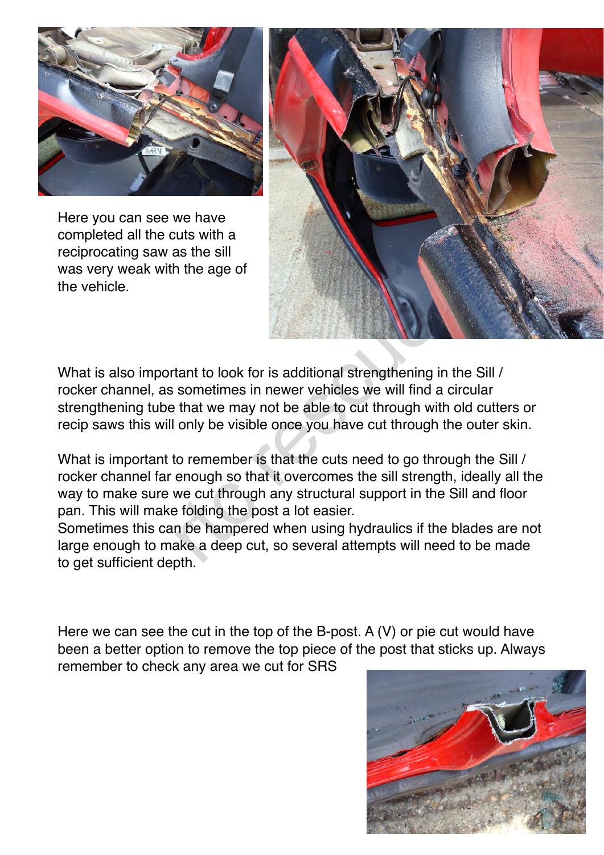

Here you can see we have completed all the cuts with a reciprocating saw as the sill was very weak with the age of the vehicle.



What is also important to look for is additional strengthening in the Sill / rocker channel, as sometimes in newer vehicles we will find a circular strengthening tube that we may not be able to cut through with old cutters or recip saws this will only be visible once you have cut through the outer skin.

What is important to remember is that the cuts need to go through the Sill / rocker channel far enough so that it overcomes the sill strength, ideally all the way to make sure we cut through any structural support in the Sill and floor pan. This will make folding the post a lot easier. tant to look for is additional strengthening i<br>sometimes in newer vehicles we will find a<br>that we may not be able to cut through wi<br>only be visible once you have cut through<br>to remember is that the cuts need to go thr<br>enou

Sometimes this can be hampered when using hydraulics if the blades are not large enough to make a deep cut, so several attempts will need to be made to get sufficient depth.

Here we can see the cut in the top of the B-post. A (V) or pie cut would have been a better option to remove the top piece of the post that sticks up. Always

remember to check any area we cut for SRS

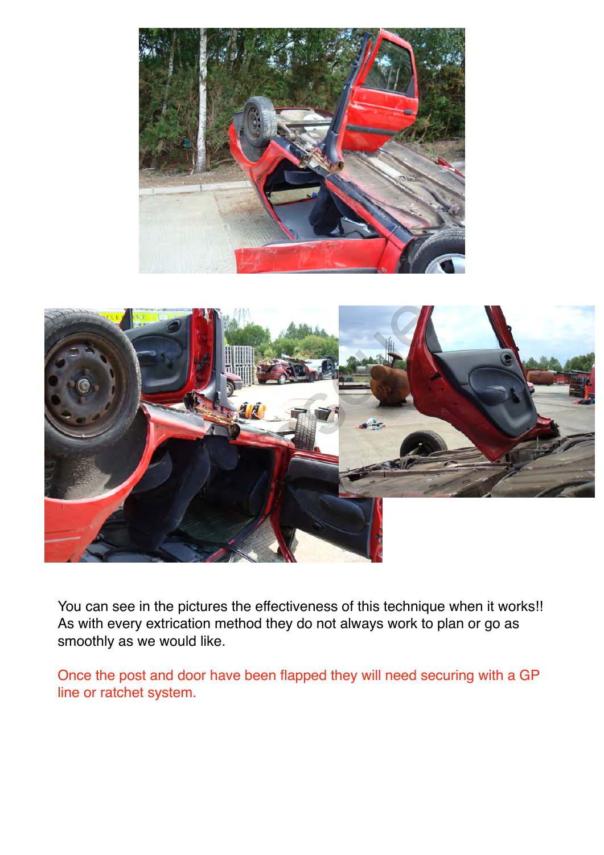



You can see in the pictures the effectiveness of this technique when it works!! As with every extrication method they do not always work to plan or go as smoothly as we would like.

Once the post and door have been flapped they will need securing with a GP line or ratchet system.